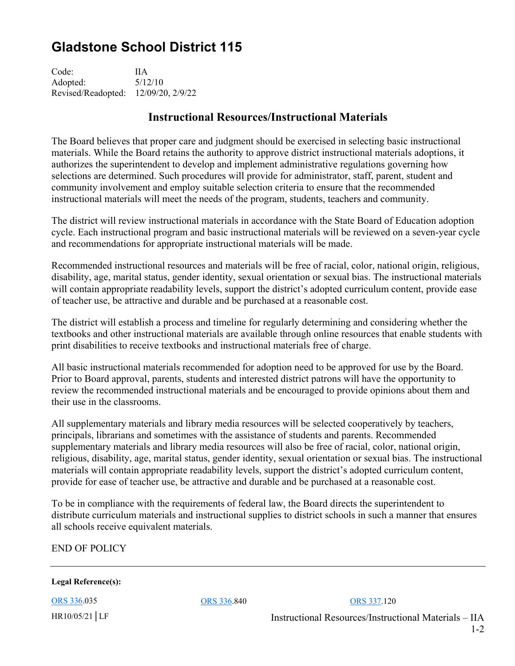## **Gladstone School District 115**

Code: IIA Adopted: 5/12/10 Revised/Readopted: 12/09/20, 2/9/22

## **Instructional Resources/Instructional Materials**

The Board believes that proper care and judgment should be exercised in selecting basic instructional materials. While the Board retains the authority to approve district instructional materials adoptions, it authorizes the superintendent to develop and implement administrative regulations governing how selections are determined. Such procedures will provide for administrator, staff, parent, student and community involvement and employ suitable selection criteria to ensure that the recommended instructional materials will meet the needs of the program, students, teachers and community.

The district will review instructional materials in accordance with the State Board of Education adoption cycle. Each instructional program and basic instructional materials will be reviewed on a seven-year cycle and recommendations for appropriate instructional materials will be made.

Recommended instructional resources and materials will be free of racial, color, national origin, religious, disability, age, marital status, gender identity, sexual orientation or sexual bias. The instructional materials will contain appropriate readability levels, support the district's adopted curriculum content, provide ease of teacher use, be attractive and durable and be purchased at a reasonable cost.

The district will establish a process and timeline for regularly determining and considering whether the textbooks and other instructional materials are available through online resources that enable students with print disabilities to receive textbooks and instructional materials free of charge.

All basic instructional materials recommended for adoption need to be approved for use by the Board. Prior to Board approval, parents, students and interested district patrons will have the opportunity to review the recommended instructional materials and be encouraged to provide opinions about them and their use in the classrooms.

All supplementary materials and library media resources will be selected cooperatively by teachers, principals, librarians and sometimes with the assistance of students and parents. Recommended supplementary materials and library media resources will also be free of racial, color, national origin, religious, disability, age, marital status, gender identity, sexual orientation or sexual bias. The instructional materials will contain appropriate readability levels, support the district's adopted curriculum content, provide for ease of teacher use, be attractive and durable and be purchased at a reasonable cost.

To be in compliance with the requirements of federal law, the Board directs the superintendent to distribute curriculum materials and instructional supplies to district schools in such a manner that ensures all schools receive equivalent materials.

END OF POLICY

**Legal Reference(s):** 

ORS 336.035 ORS 336.840 ORS 337.120

HR10/05/21│LF Instructional Resources/Instructional Materials – IIA 1-2